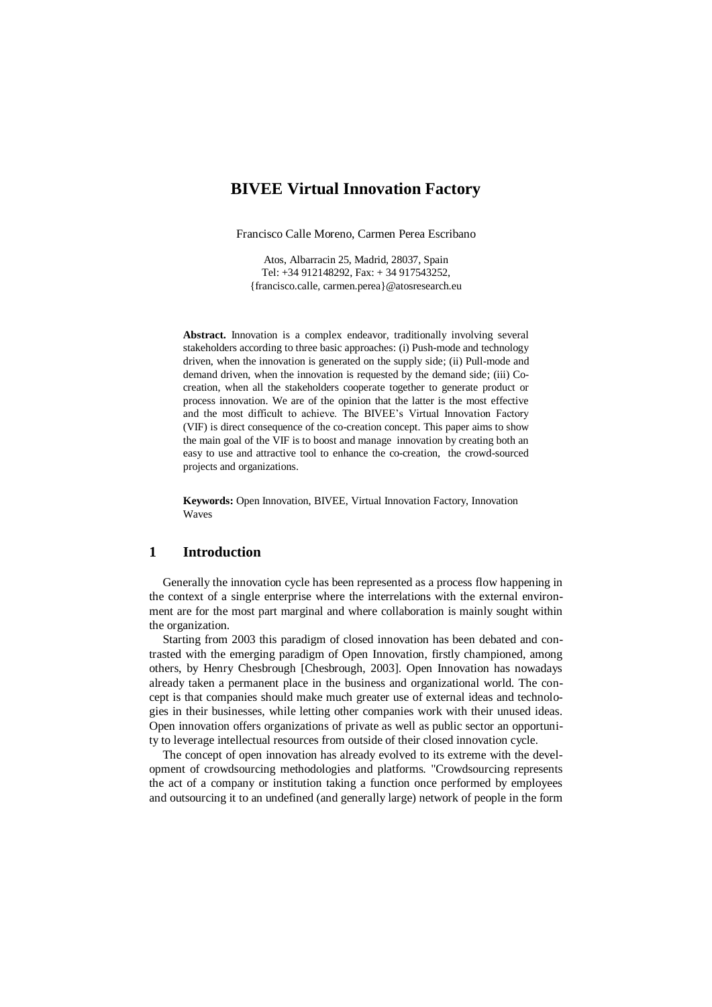# **BIVEE Virtual Innovation Factory**

Francisco Calle Moreno, Carmen Perea Escribano

Atos, Albarracin 25, Madrid, 28037, Spain Tel: +34 912148292, Fax: + 34 917543252, {francisco.calle, [carmen.perea}@atosresearch.eu](mailto:carmen.perea%7d@atosresearch.eu)

Abstract. Innovation is a complex endeavor, traditionally involving several stakeholders according to three basic approaches: (i) Push-mode and technology driven, when the innovation is generated on the supply side; (ii) Pull-mode and demand driven, when the innovation is requested by the demand side; (iii) Cocreation, when all the stakeholders cooperate together to generate product or process innovation. We are of the opinion that the latter is the most effective and the most difficult to achieve. The BIVEE's Virtual Innovation Factory (VIF) is direct consequence of the co-creation concept. This paper aims to show the main goal of the VIF is to boost and manage innovation by creating both an easy to use and attractive tool to enhance the co-creation, the crowd-sourced projects and organizations.

**Keywords:** Open Innovation, BIVEE, Virtual Innovation Factory, Innovation Waves

## **1 Introduction**

Generally the innovation cycle has been represented as a process flow happening in the context of a single enterprise where the interrelations with the external environment are for the most part marginal and where collaboration is mainly sought within the organization.

Starting from 2003 this paradigm of closed innovation has been debated and contrasted with the emerging paradigm of Open Innovation, firstly championed, among others, by Henry Chesbrough [Chesbrough, 2003]. Open Innovation has nowadays already taken a permanent place in the business and organizational world. The concept is that companies should make much greater use of external ideas and technologies in their businesses, while letting other companies work with their unused ideas. Open innovation offers organizations of private as well as public sector an opportunity to leverage intellectual resources from outside of their closed innovation cycle.

The concept of open innovation has already evolved to its extreme with the development of crowdsourcing methodologies and platforms. "Crowdsourcing represents the act of a company or institution taking a function once performed by employees and outsourcing it to an undefined (and generally large) network of people in the form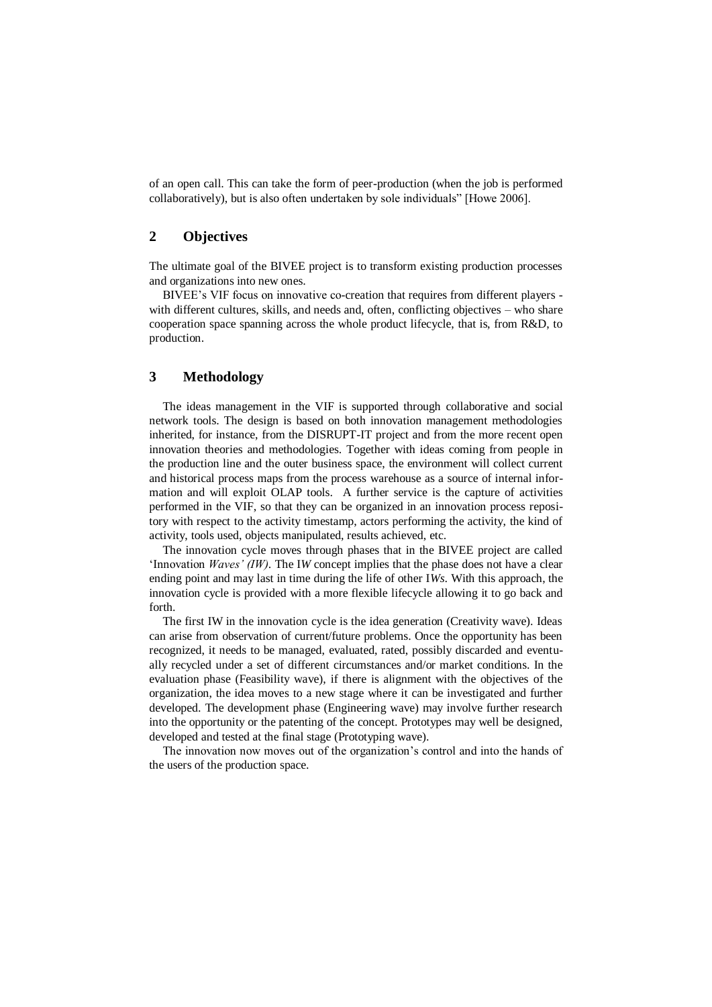of an open call. This can take the form of peer-production (when the job is performed collaboratively), but is also often undertaken by sole individuals" [Howe 2006].

### **2 Objectives**

The ultimate goal of the BIVEE project is to transform existing production processes and organizations into new ones.

BIVEE's VIF focus on innovative co-creation that requires from different players with different cultures, skills, and needs and, often, conflicting objectives – who share cooperation space spanning across the whole product lifecycle, that is, from R&D, to production.

## **3 Methodology**

The ideas management in the VIF is supported through collaborative and social network tools. The design is based on both innovation management methodologies inherited, for instance, from the DISRUPT-IT project and from the more recent open innovation theories and methodologies. Together with ideas coming from people in the production line and the outer business space, the environment will collect current and historical process maps from the process warehouse as a source of internal information and will exploit OLAP tools. A further service is the capture of activities performed in the VIF, so that they can be organized in an innovation process repository with respect to the activity timestamp, actors performing the activity, the kind of activity, tools used, objects manipulated, results achieved, etc.

The innovation cycle moves through phases that in the BIVEE project are called 'Innovation *Waves' (IW)*. The I*W* concept implies that the phase does not have a clear ending point and may last in time during the life of other I*Ws*. With this approach, the innovation cycle is provided with a more flexible lifecycle allowing it to go back and forth.

The first IW in the innovation cycle is the idea generation (Creativity wave). Ideas can arise from observation of current/future problems. Once the opportunity has been recognized, it needs to be managed, evaluated, rated, possibly discarded and eventually recycled under a set of different circumstances and/or market conditions. In the evaluation phase (Feasibility wave), if there is alignment with the objectives of the organization, the idea moves to a new stage where it can be investigated and further developed. The development phase (Engineering wave) may involve further research into the opportunity or the patenting of the concept. Prototypes may well be designed, developed and tested at the final stage (Prototyping wave).

The innovation now moves out of the organization's control and into the hands of the users of the production space.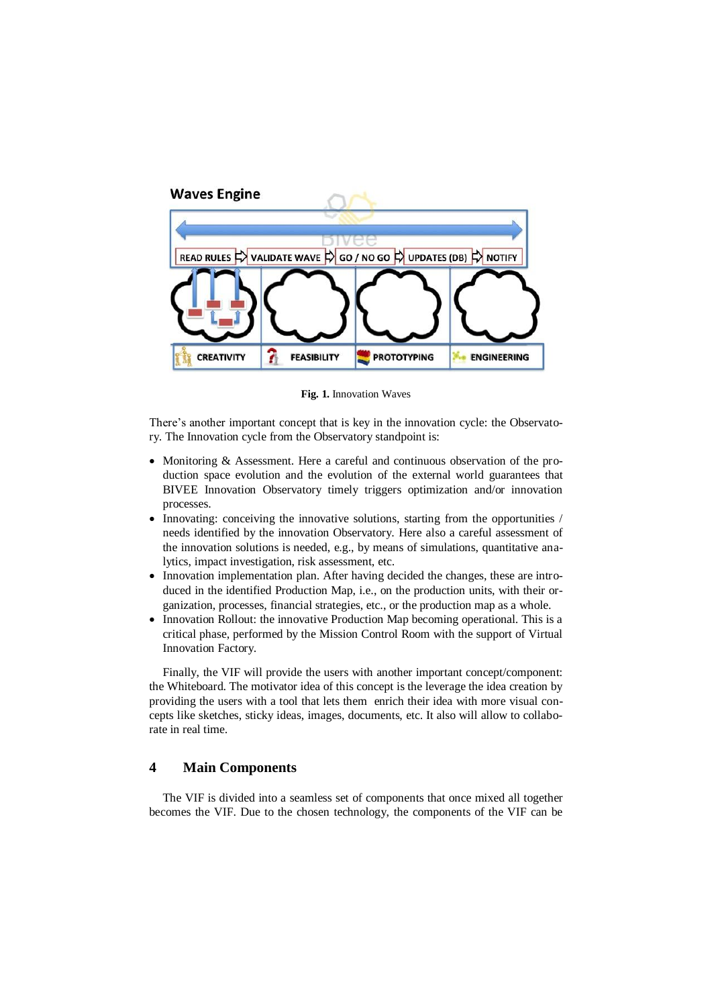

**Fig. 1.** Innovation Waves

There's another important concept that is key in the innovation cycle: the Observatory. The Innovation cycle from the Observatory standpoint is:

- Monitoring & Assessment. Here a careful and continuous observation of the production space evolution and the evolution of the external world guarantees that BIVEE Innovation Observatory timely triggers optimization and/or innovation processes.
- Innovating: conceiving the innovative solutions, starting from the opportunities / needs identified by the innovation Observatory. Here also a careful assessment of the innovation solutions is needed, e.g., by means of simulations, quantitative analytics, impact investigation, risk assessment, etc.
- Innovation implementation plan. After having decided the changes, these are introduced in the identified Production Map, i.e., on the production units, with their organization, processes, financial strategies, etc., or the production map as a whole.
- Innovation Rollout: the innovative Production Map becoming operational. This is a critical phase, performed by the Mission Control Room with the support of Virtual Innovation Factory.

Finally, the VIF will provide the users with another important concept/component: the Whiteboard. The motivator idea of this concept is the leverage the idea creation by providing the users with a tool that lets them enrich their idea with more visual concepts like sketches, sticky ideas, images, documents, etc. It also will allow to collaborate in real time.

## **4 Main Components**

The VIF is divided into a seamless set of components that once mixed all together becomes the VIF. Due to the chosen technology, the components of the VIF can be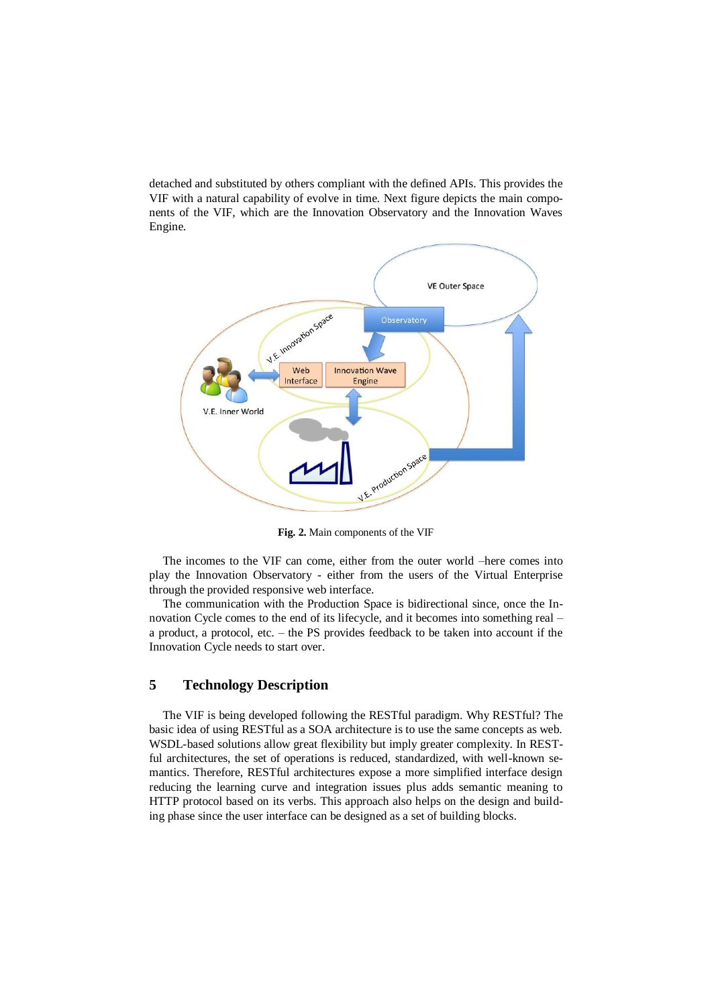detached and substituted by others compliant with the defined APIs. This provides the VIF with a natural capability of evolve in time. Next figure depicts the main components of the VIF, which are the Innovation Observatory and the Innovation Waves Engine.



**Fig. 2.** Main components of the VIF

The incomes to the VIF can come, either from the outer world –here comes into play the Innovation Observatory - either from the users of the Virtual Enterprise through the provided responsive web interface.

The communication with the Production Space is bidirectional since, once the Innovation Cycle comes to the end of its lifecycle, and it becomes into something real – a product, a protocol, etc. – the PS provides feedback to be taken into account if the Innovation Cycle needs to start over.

### **5 Technology Description**

The VIF is being developed following the RESTful paradigm. Why RESTful? The basic idea of using RESTful as a SOA architecture is to use the same concepts as web. WSDL-based solutions allow great flexibility but imply greater complexity. In RESTful architectures, the set of operations is reduced, standardized, with well-known semantics. Therefore, RESTful architectures expose a more simplified interface design reducing the learning curve and integration issues plus adds semantic meaning to HTTP protocol based on its verbs. This approach also helps on the design and building phase since the user interface can be designed as a set of building blocks.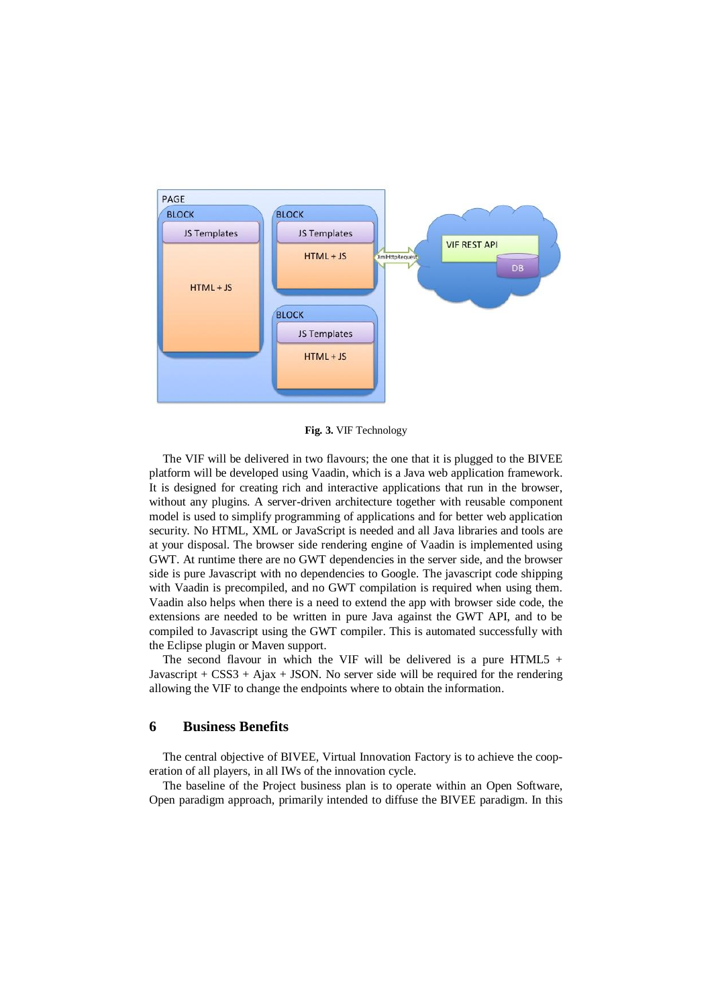

**Fig. 3.** VIF Technology

The VIF will be delivered in two flavours; the one that it is plugged to the BIVEE platform will be developed using Vaadin, which is a Java web application framework. It is designed for creating rich and interactive applications that run in the browser, without any plugins. A server-driven architecture together with reusable component model is used to simplify programming of applications and for better web application security. No HTML, XML or JavaScript is needed and all Java libraries and tools are at your disposal. The browser side rendering engine of Vaadin is implemented using GWT. At runtime there are no GWT dependencies in the server side, and the browser side is pure Javascript with no dependencies to Google. The javascript code shipping with Vaadin is precompiled, and no GWT compilation is required when using them. Vaadin also helps when there is a need to extend the app with browser side code, the extensions are needed to be written in pure Java against the GWT API, and to be compiled to Javascript using the GWT compiler. This is automated successfully with the Eclipse plugin or Maven support.

The second flavour in which the VIF will be delivered is a pure HTML5  $+$ Javascript +  $CSS3 + Ajax + JSON$ . No server side will be required for the rendering allowing the VIF to change the endpoints where to obtain the information.

#### **6 Business Benefits**

The central objective of BIVEE, Virtual Innovation Factory is to achieve the cooperation of all players, in all IWs of the innovation cycle.

The baseline of the Project business plan is to operate within an Open Software, Open paradigm approach, primarily intended to diffuse the BIVEE paradigm. In this